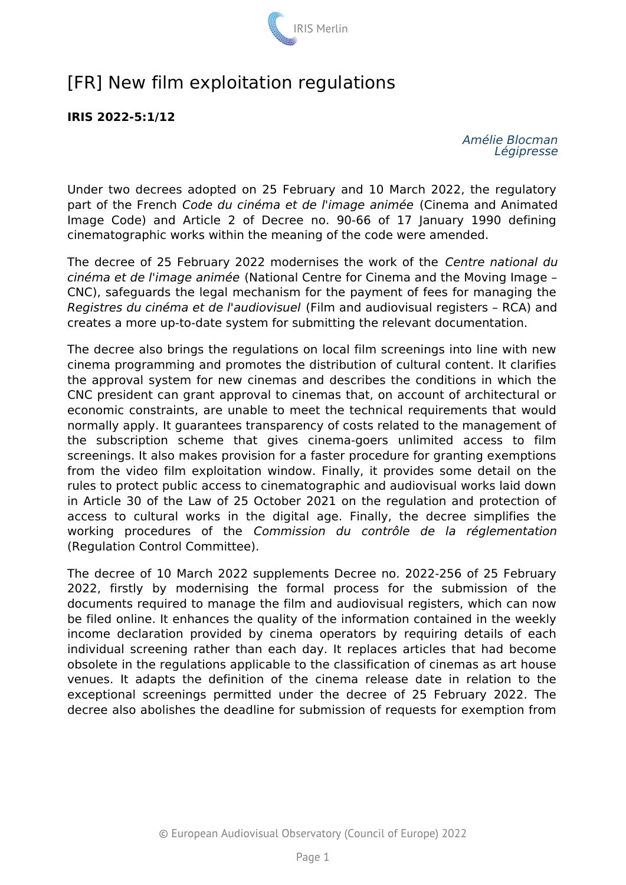

# [FR] New film exploitation regulations

**IRIS 2022-5:1/12**

*Amélie Blocman Légipresse*

Under two decrees adopted on 25 February and 10 March 2022, the regulatory part of the French *Code du cinéma et de l'image animée* (Cinema and Animated Image Code) and Article 2 of Decree no. 90-66 of 17 January 1990 defining cinematographic works within the meaning of the code were amended.

The decree of 25 February 2022 modernises the work of the *Centre national du cinéma et de l'image animée* (National Centre for Cinema and the Moving Image – CNC), safeguards the legal mechanism for the payment of fees for managing the *Registres du cinéma et de l'audiovisuel* (Film and audiovisual registers – RCA) and creates a more up-to-date system for submitting the relevant documentation.

The decree also brings the regulations on local film screenings into line with new cinema programming and promotes the distribution of cultural content. It clarifies the approval system for new cinemas and describes the conditions in which the CNC president can grant approval to cinemas that, on account of architectural or economic constraints, are unable to meet the technical requirements that would normally apply. It guarantees transparency of costs related to the management of the subscription scheme that gives cinema-goers unlimited access to film screenings. It also makes provision for a faster procedure for granting exemptions from the video film exploitation window. Finally, it provides some detail on the rules to protect public access to cinematographic and audiovisual works laid down in Article 30 of the Law of 25 October 2021 on the regulation and protection of access to cultural works in the digital age. Finally, the decree simplifies the working procedures of the *Commission du contrôle de la réglementation* (Regulation Control Committee).

The decree of 10 March 2022 supplements Decree no. 2022-256 of 25 February 2022, firstly by modernising the formal process for the submission of the documents required to manage the film and audiovisual registers, which can now be filed online. It enhances the quality of the information contained in the weekly income declaration provided by cinema operators by requiring details of each individual screening rather than each day. It replaces articles that had become obsolete in the regulations applicable to the classification of cinemas as art house venues. It adapts the definition of the cinema release date in relation to the exceptional screenings permitted under the decree of 25 February 2022. The decree also abolishes the deadline for submission of requests for exemption from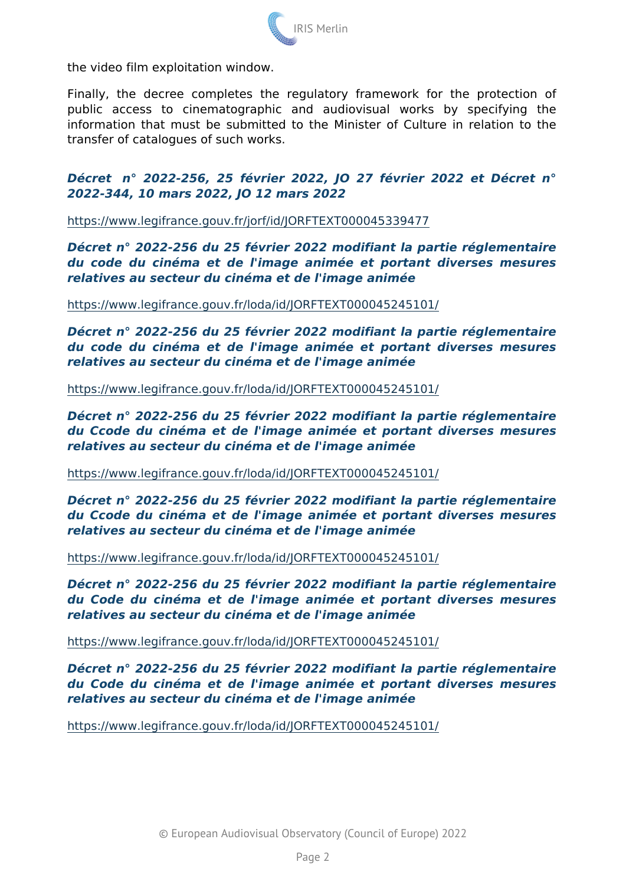the video film exploitation window.

Finally, the decree completes the regulatory framework for public access to cinematographic and audiovisual works information that must be submitted to the Minister of Culture transfer of catalogues of such works.

Décret n° 2022-256, 25 février 2022, JO 27 février 2022 et 2022-344, 10 mars 2022, JO 12 mars 2022

#### [https://www.legifrance.gouv.fr/jorf/id/JORFT](https://www.legifrance.gouv.fr/jorf/id/JORFTEXT000045339477)EXT000045339477

Décret n° 2022-256 du 25 février 2022 modifiant la partie réglem du code du cinéma et de l'image animée et portant diverses relatives au secteur du cinéma et de l'image animée

# [https://www.legifrance.gouv.fr/loda/id/JORFT](https://www.legifrance.gouv.fr/loda/id/JORFTEXT000045245101/)EXT000045245101/

Décret n° 2022-256 du 25 février 2022 modifiant la partie réglem du code du cinéma et de l'image animée et portant diverses relatives au secteur du cinéma et de l'image animée

[https://www.legifrance.gouv.fr/loda/id/JORFT](https://www.legifrance.gouv.fr/loda/id/JORFTEXT000045245101/)EXT000045245101/

Décret n° 2022-256 du 25 février 2022 modifiant la partie réglem du Ccode du cinéma et de l'image animée et portant diverses relatives au secteur du cinéma et de l'image animée

#### [https://www.legifrance.gouv.fr/loda/id/JORFT](https://www.legifrance.gouv.fr/loda/id/JORFTEXT000045245101/)EXT000045245101/

Décret n° 2022-256 du 25 février 2022 modifiant la partie réglem du Ccode du cinéma et de l'image animée et portant diverses relatives au secteur du cinéma et de l'image animée

### [https://www.legifrance.gouv.fr/loda/id/JORFT](https://www.legifrance.gouv.fr/loda/id/JORFTEXT000045245101/)EXT000045245101/

Décret n° 2022-256 du 25 février 2022 modifiant la partie réglem du Code du cinéma et de l'image animée et portant diverses relatives au secteur du cinéma et de l'image animée

### [https://www.legifrance.gouv.fr/loda/id/JORFT](https://www.legifrance.gouv.fr/loda/id/JORFTEXT000045245101/)EXT000045245101/

Décret n° 2022-256 du 25 février 2022 modifiant la partie réglem du Code du cinéma et de l'image animée et portant diverses relatives au secteur du cinéma et de l'image animée

# [https://www.legifrance.gouv.fr/loda/id/JORFT](https://www.legifrance.gouv.fr/loda/id/JORFTEXT000045245101/)EXT000045245101/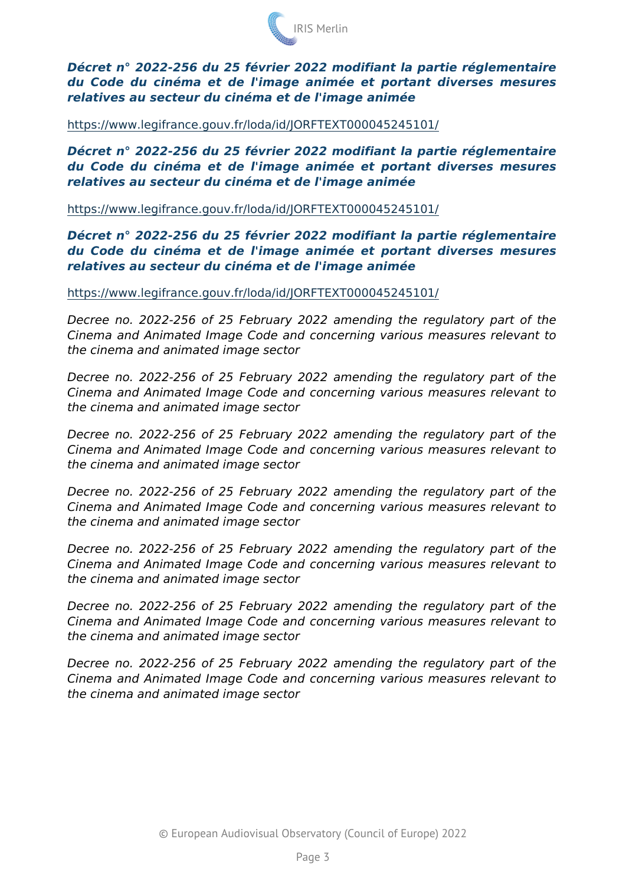Décret n° 2022-256 du 25 février 2022 modifiant la partie réglem du Code du cinéma et de l'image animée et portant diverses relatives au secteur du cinéma et de l'image animée

#### [https://www.legifrance.gouv.fr/loda/id/JORFT](https://www.legifrance.gouv.fr/loda/id/JORFTEXT000045245101/)EXT000045245101/

Décret n° 2022-256 du 25 février 2022 modifiant la partie réglem du Code du cinéma et de l'image animée et portant diverses relatives au secteur du cinéma et de l'image animée

[https://www.legifrance.gouv.fr/loda/id/JORFT](https://www.legifrance.gouv.fr/loda/id/JORFTEXT000045245101/)EXT000045245101/

Décret n° 2022-256 du 25 février 2022 modifiant la partie réglem du Code du cinéma et de l'image animée et portant diverses relatives au secteur du cinéma et de l'image animée

# [https://www.legifrance.gouv.fr/loda/id/JORFT](https://www.legifrance.gouv.fr/loda/id/JORFTEXT000045245101/)EXT000045245101/

Decree no. 2022-256 of 25 February 2022 amending the regula Cinema and Animated Image Code and concerning various measures the cinema and animated image sector

Decree no. 2022-256 of 25 February 2022 amending the regula Cinema and Animated Image Code and concerning various measures the cinema and animated image sector

Decree no. 2022-256 of 25 February 2022 amending the regula Cinema and Animated Image Code and concerning various measures the cinema and animated image sector

Decree no. 2022-256 of 25 February 2022 amending the regula Cinema and Animated Image Code and concerning various measures the cinema and animated image sector

Decree no. 2022-256 of 25 February 2022 amending the regula Cinema and Animated Image Code and concerning various measures the cinema and animated image sector

Decree no. 2022-256 of 25 February 2022 amending the regula Cinema and Animated Image Code and concerning various measures the cinema and animated image sector

Decree no. 2022-256 of 25 February 2022 amending the regula Cinema and Animated Image Code and concerning various measures the cinema and animated image sector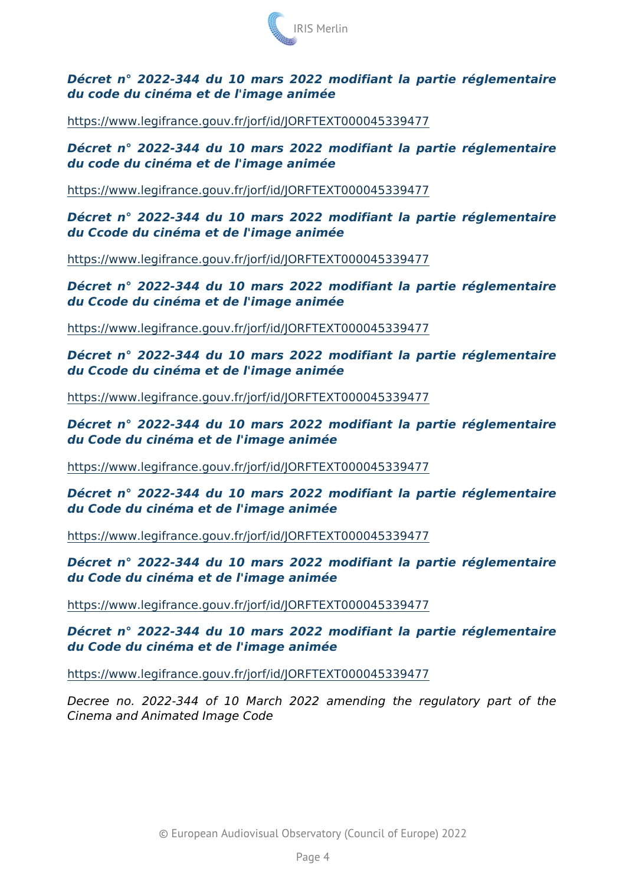Décret n° 2022-344 du 10 mars 2022 modifiant la partie réglem du code du cinéma et de l'image animée

# [https://www.legifrance.gouv.fr/jorf/id/JORFT](https://www.legifrance.gouv.fr/jorf/id/JORFTEXT000045339477)EXT000045339477

Décret n° 2022-344 du 10 mars 2022 modifiant la partie réglement du code du cinéma et de l'image animée

# [https://www.legifrance.gouv.fr/jorf/id/JORFT](https://www.legifrance.gouv.fr/jorf/id/JORFTEXT000045339477)EXT000045339477

Décret n° 2022-344 du 10 mars 2022 modifiant la partie réglement du Ccode du cinéma et de l'image animée

### [https://www.legifrance.gouv.fr/jorf/id/JORFT](https://www.legifrance.gouv.fr/jorf/id/JORFTEXT000045339477)EXT000045339477

Décret n° 2022-344 du 10 mars 2022 modifiant la partie réglement du Ccode du cinéma et de l'image animée

#### [https://www.legifrance.gouv.fr/jorf/id/JORFT](https://www.legifrance.gouv.fr/jorf/id/JORFTEXT000045339477)EXT000045339477

Décret n° 2022-344 du 10 mars 2022 modifiant la partie réglement du Ccode du cinéma et de l'image animée

### [https://www.legifrance.gouv.fr/jorf/id/JORFT](https://www.legifrance.gouv.fr/jorf/id/JORFTEXT000045339477)EXT000045339477

Décret n° 2022-344 du 10 mars 2022 modifiant la partie réglem du Code du cinéma et de l'image animée

#### [https://www.legifrance.gouv.fr/jorf/id/JORFT](https://www.legifrance.gouv.fr/jorf/id/JORFTEXT000045339477)EXT000045339477

Décret n° 2022-344 du 10 mars 2022 modifiant la partie réglement du Code du cinéma et de l'image animée

[https://www.legifrance.gouv.fr/jorf/id/JORFT](https://www.legifrance.gouv.fr/jorf/id/JORFTEXT000045339477)EXT000045339477

Décret n° 2022-344 du 10 mars 2022 modifiant la partie réglem du Code du cinéma et de l'image animée

# [https://www.legifrance.gouv.fr/jorf/id/JORFT](https://www.legifrance.gouv.fr/jorf/id/JORFTEXT000045339477)EXT000045339477

Décret n° 2022-344 du 10 mars 2022 modifiant la partie réglement du Code du cinéma et de l'image animée

# [https://www.legifrance.gouv.fr/jorf/id/JORFT](https://www.legifrance.gouv.fr/jorf/id/JORFTEXT000045339477)EXT000045339477

Decree no. 2022-344 of 10 March 2022 amending the regula Cinema and Animated Image Code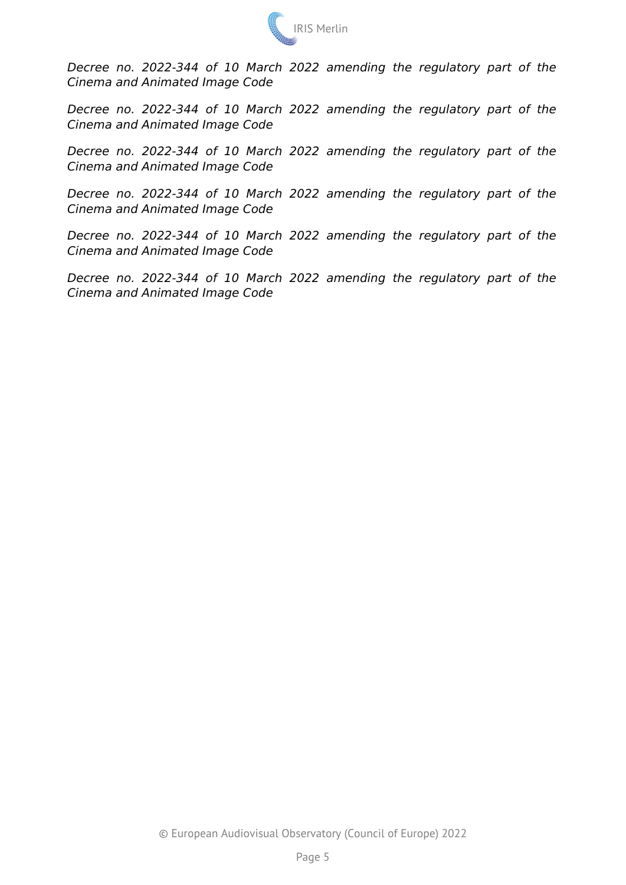

*Decree no. 2022-344 of 10 March 2022 amending the regulatory part of the Cinema and Animated Image Code*

*Decree no. 2022-344 of 10 March 2022 amending the regulatory part of the Cinema and Animated Image Code*

*Decree no. 2022-344 of 10 March 2022 amending the regulatory part of the Cinema and Animated Image Code*

*Decree no. 2022-344 of 10 March 2022 amending the regulatory part of the Cinema and Animated Image Code*

*Decree no. 2022-344 of 10 March 2022 amending the regulatory part of the Cinema and Animated Image Code*

*Decree no. 2022-344 of 10 March 2022 amending the regulatory part of the Cinema and Animated Image Code*